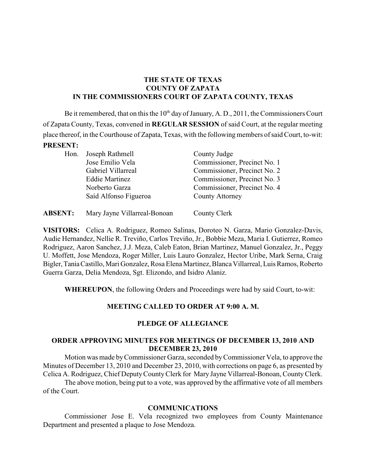## **THE STATE OF TEXAS COUNTY OF ZAPATA IN THE COMMISSIONERS COURT OF ZAPATA COUNTY, TEXAS**

Be it remembered, that on this the  $10<sup>th</sup>$  day of January, A. D., 2011, the Commissioners Court of Zapata County, Texas, convened in **REGULAR SESSION** of said Court, at the regular meeting place thereof, in the Courthouse of Zapata, Texas, with the following members of said Court, to-wit: **PRESENT:**

| Hon. | Joseph Rathmell       | County Judge                 |
|------|-----------------------|------------------------------|
|      | Jose Emilio Vela      | Commissioner, Precinct No. 1 |
|      | Gabriel Villarreal    | Commissioner, Precinct No. 2 |
|      | <b>Eddie Martinez</b> | Commissioner, Precinct No. 3 |
|      | Norberto Garza        | Commissioner, Precinct No. 4 |
|      | Saíd Alfonso Figueroa | <b>County Attorney</b>       |
|      |                       |                              |
|      |                       |                              |

**ABSENT:** Mary Jayne Villarreal-Bonoan County Clerk

**VISITORS:** Celica A. Rodriguez, Romeo Salinas, Doroteo N. Garza, Mario Gonzalez-Davis, Audie Hernandez, Nellie R. Treviño, Carlos Treviño, Jr., Bobbie Meza, Maria I. Gutierrez, Romeo Rodriguez, Aaron Sanchez, J.J. Meza, Caleb Eaton, Brian Martinez, Manuel Gonzalez, Jr., Peggy U. Moffett, Jose Mendoza, Roger Miller, Luis Lauro Gonzalez, Hector Uribe, Mark Serna, Craig Bigler,TaniaCastillo, Mari Gonzalez, Rosa Elena Martinez, Blanca Villarreal, Luis Ramos, Roberto Guerra Garza, Delia Mendoza, Sgt. Elizondo, and Isidro Alaniz.

**WHEREUPON**, the following Orders and Proceedings were had by said Court, to-wit:

### **MEETING CALLED TO ORDER AT 9:00 A. M.**

### **PLEDGE OF ALLEGIANCE**

#### **ORDER APPROVING MINUTES FOR MEETINGS OF DECEMBER 13, 2010 AND DECEMBER 23, 2010**

Motion was made byCommissioner Garza, seconded byCommissioner Vela, to approve the Minutes of December 13, 2010 and December 23, 2010, with corrections on page 6, as presented by Celica A. Rodriguez, Chief DeputyCountyClerk for Mary Jayne Villarreal-Bonoan, CountyClerk.

The above motion, being put to a vote, was approved by the affirmative vote of all members of the Court.

#### **COMMUNICATIONS**

Commissioner Jose E. Vela recognized two employees from County Maintenance Department and presented a plaque to Jose Mendoza.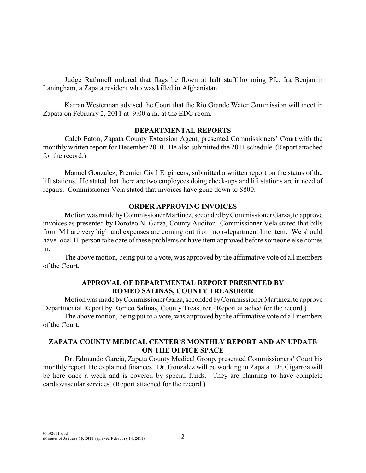Judge Rathmell ordered that flags be flown at half staff honoring Pfc. Ira Benjamin Laningham, a Zapata resident who was killed in Afghanistan.

Karran Westerman advised the Court that the Rio Grande Water Commission will meet in Zapata on February 2, 2011 at 9:00 a.m. at the EDC room.

#### **DEPARTMENTAL REPORTS**

Caleb Eaton, Zapata County Extension Agent, presented Commissioners' Court with the monthly written report for December 2010. He also submitted the 2011 schedule. (Report attached for the record.)

Manuel Gonzalez, Premier Civil Engineers, submitted a written report on the status of the lift stations. He stated that there are two employees doing check-ups and lift stations are in need of repairs. Commissioner Vela stated that invoices have gone down to \$800.

#### **ORDER APPROVING INVOICES**

Motion was made by Commissioner Martinez, seconded by Commissioner Garza, to approve invoices as presented by Doroteo N. Garza, County Auditor. Commissioner Vela stated that bills from M1 are very high and expenses are coming out from non-department line item. We should have local IT person take care of these problems or have item approved before someone else comes in.

The above motion, being put to a vote, was approved by the affirmative vote of all members of the Court.

#### **APPROVAL OF DEPARTMENTAL REPORT PRESENTED BY ROMEO SALINAS, COUNTY TREASURER**

Motion was made byCommissionerGarza, seconded byCommissioner Martinez, to approve Departmental Report by Romeo Salinas, County Treasurer. (Report attached for the record.)

The above motion, being put to a vote, was approved by the affirmative vote of all members of the Court.

## **ZAPATA COUNTY MEDICAL CENTER'S MONTHLY REPORT AND AN UPDATE ON THE OFFICE SPACE**

Dr. Edmundo Garcia, Zapata County Medical Group, presented Commissioners' Court his monthly report. He explained finances. Dr. Gonzalez will be working in Zapata. Dr. Cigarroa will be here once a week and is covered by special funds. They are planning to have complete cardiovascular services. (Report attached for the record.)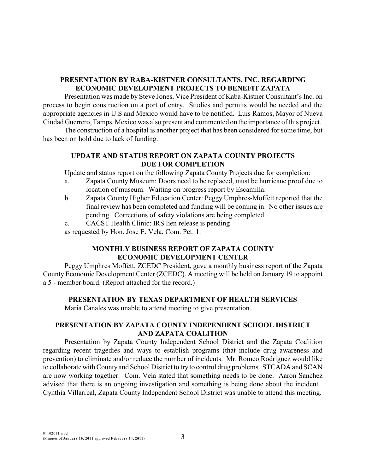### **PRESENTATION BY RABA-KISTNER CONSULTANTS, INC. REGARDING ECONOMIC DEVELOPMENT PROJECTS TO BENEFIT ZAPATA**

Presentation was made by Steve Jones, Vice President of Kaba-Kistner Consultant's Inc. on process to begin construction on a port of entry. Studies and permits would be needed and the appropriate agencies in U.S and Mexico would have to be notified. Luis Ramos, Mayor of Nueva Ciudad Guerrero,Tamps.Mexico was also present and commented on the importance of this project.

The construction of a hospital is another project that has been considered for some time, but has been on hold due to lack of funding.

## **UPDATE AND STATUS REPORT ON ZAPATA COUNTY PROJECTS DUE FOR COMPLETION**

Update and status report on the following Zapata County Projects due for completion:

- a. Zapata County Museum: Doors need to be replaced, must be hurricane proof due to location of museum. Waiting on progress report by Escamilla.
- b. Zapata County Higher Education Center: Peggy Umphres-Moffett reported that the final review has been completed and funding will be coming in. No other issues are pending. Corrections of safety violations are being completed.
- c. CACST Health Clinic: IRS lien release is pending

as requested by Hon. Jose E. Vela, Com. Pct. 1.

### **MONTHLY BUSINESS REPORT OF ZAPATA COUNTY ECONOMIC DEVELOPMENT CENTER**

Peggy Umphres Moffett, ZCEDC President, gave a monthly business report of the Zapata County Economic Development Center (ZCEDC). A meeting will be held on January 19 to appoint a 5 - member board. (Report attached for the record.)

### **PRESENTATION BY TEXAS DEPARTMENT OF HEALTH SERVICES**

Maria Canales was unable to attend meeting to give presentation.

### **PRESENTATION BY ZAPATA COUNTY INDEPENDENT SCHOOL DISTRICT AND ZAPATA COALITION**

Presentation by Zapata County Independent School District and the Zapata Coalition regarding recent tragedies and ways to establish programs (that include drug awareness and prevention) to eliminate and/or reduce the number of incidents. Mr. Romeo Rodriguez would like to collaborate with County and School District to try to control drug problems. STCADA and SCAN are now working together. Com. Vela stated that something needs to be done. Aaron Sanchez advised that there is an ongoing investigation and something is being done about the incident. Cynthia Villarreal, Zapata County Independent School District was unable to attend this meeting.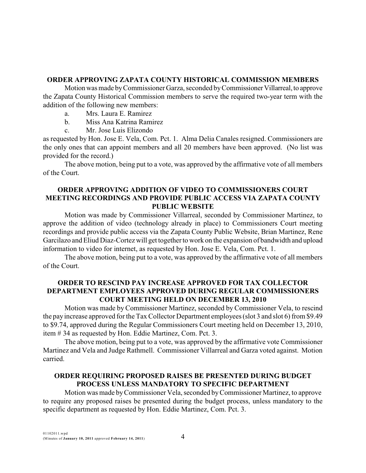#### **ORDER APPROVING ZAPATA COUNTY HISTORICAL COMMISSION MEMBERS**

Motionwas made byCommissioner Garza, seconded byCommissionerVillarreal,to approve the Zapata County Historical Commission members to serve the required two-year term with the addition of the following new members:

- a. Mrs. Laura E. Ramirez
- b. Miss Ana Katrina Ramirez
- c. Mr. Jose Luis Elizondo

as requested by Hon. Jose E. Vela, Com. Pct. 1. Alma Delia Canales resigned. Commissioners are the only ones that can appoint members and all 20 members have been approved. (No list was provided for the record.)

The above motion, being put to a vote, was approved by the affirmative vote of all members of the Court.

#### **ORDER APPROVING ADDITION OF VIDEO TO COMMISSIONERS COURT MEETING RECORDINGS AND PROVIDE PUBLIC ACCESS VIA ZAPATA COUNTY PUBLIC WEBSITE**

Motion was made by Commissioner Villarreal, seconded by Commissioner Martinez, to approve the addition of video (technology already in place) to Commissioners Court meeting recordings and provide public access via the Zapata County Public Website, Brian Martinez, Rene Garcilazo and Eliud Diaz-Cortez will get together to work on the expansion of bandwidth and upload information to video for internet, as requested by Hon. Jose E. Vela, Com. Pct. 1.

The above motion, being put to a vote, was approved by the affirmative vote of all members of the Court.

### **ORDER TO RESCIND PAY INCREASE APPROVED FOR TAX COLLECTOR DEPARTMENT EMPLOYEES APPROVED DURING REGULAR COMMISSIONERS COURT MEETING HELD ON DECEMBER 13, 2010**

Motion was made by Commissioner Martinez, seconded by Commissioner Vela, to rescind the pay increase approved for the Tax Collector Department employees (slot 3 and slot 6) from \$9.49 to \$9.74, approved during the Regular Commissioners Court meeting held on December 13, 2010, item # 34 as requested by Hon. Eddie Martinez, Com. Pct. 3.

The above motion, being put to a vote, was approved by the affirmative vote Commissioner Martinez and Vela and Judge Rathmell. Commissioner Villarreal and Garza voted against. Motion carried.

#### **ORDER REQUIRING PROPOSED RAISES BE PRESENTED DURING BUDGET PROCESS UNLESS MANDATORY TO SPECIFIC DEPARTMENT**

Motion was made byCommissioner Vela, seconded byCommissioner Martinez, to approve to require any proposed raises be presented during the budget process, unless mandatory to the specific department as requested by Hon. Eddie Martinez, Com. Pct. 3.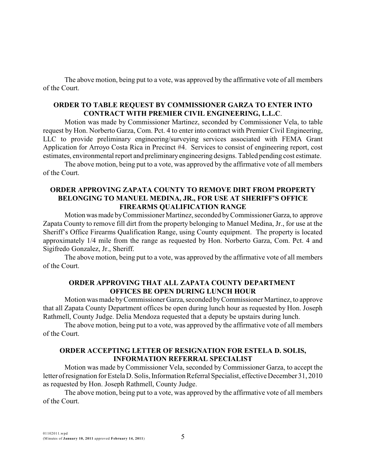The above motion, being put to a vote, was approved by the affirmative vote of all members of the Court.

### **ORDER TO TABLE REQUEST BY COMMISSIONER GARZA TO ENTER INTO CONTRACT WITH PREMIER CIVIL ENGINEERING, L.L.C**.

Motion was made by Commissioner Martinez, seconded by Commissioner Vela, to table request by Hon. Norberto Garza, Com. Pct. 4 to enter into contract with Premier Civil Engineering, LLC to provide preliminary engineering/surveying services associated with FEMA Grant Application for Arroyo Costa Rica in Precinct #4. Services to consist of engineering report, cost estimates, environmental report and preliminaryengineering designs. Tabled pending cost estimate.

The above motion, being put to a vote, was approved by the affirmative vote of all members of the Court.

#### **ORDER APPROVING ZAPATA COUNTY TO REMOVE DIRT FROM PROPERTY BELONGING TO MANUEL MEDINA, JR., FOR USE AT SHERIFF'S OFFICE FIREARMS QUALIFICATION RANGE**

Motionwasmade byCommissioner Martinez, seconded byCommissionerGarza, to approve Zapata County to remove fill dirt from the property belonging to Manuel Medina, Jr., for use at the Sheriff's Office Firearms Qualification Range, using County equipment. The property is located approximately 1/4 mile from the range as requested by Hon. Norberto Garza, Com. Pct. 4 and Sigifredo Gonzalez, Jr., Sheriff.

The above motion, being put to a vote, was approved by the affirmative vote of all members of the Court.

#### **ORDER APPROVING THAT ALL ZAPATA COUNTY DEPARTMENT OFFICES BE OPEN DURING LUNCH HOUR**

Motion was made byCommissionerGarza,seconded byCommissioner Martinez, to approve that all Zapata County Department offices be open during lunch hour as requested by Hon. Joseph Rathmell, County Judge. Delia Mendoza requested that a deputy be upstairs during lunch.

The above motion, being put to a vote, was approved by the affirmative vote of all members of the Court.

### **ORDER ACCEPTING LETTER OF RESIGNATION FOR ESTELA D. SOLIS, INFORMATION REFERRAL SPECIALIST**

Motion was made by Commissioner Vela, seconded by Commissioner Garza, to accept the letter ofresignation for Estela D. Solis, Information Referral Specialist, effective December 31, 2010 as requested by Hon. Joseph Rathmell, County Judge.

The above motion, being put to a vote, was approved by the affirmative vote of all members of the Court.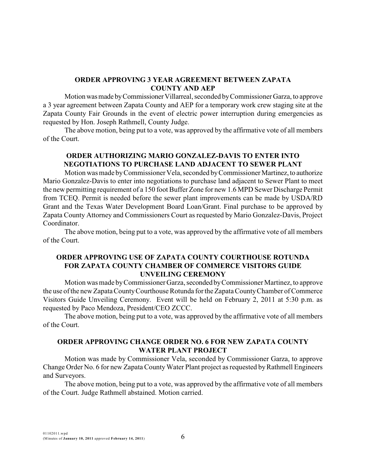#### **ORDER APPROVING 3 YEAR AGREEMENT BETWEEN ZAPATA COUNTY AND AEP**

Motionwasmade byCommissionerVillarreal, seconded byCommissioner Garza, to approve a 3 year agreement between Zapata County and AEP for a temporary work crew staging site at the Zapata County Fair Grounds in the event of electric power interruption during emergencies as requested by Hon. Joseph Rathmell, County Judge.

The above motion, being put to a vote, was approved by the affirmative vote of all members of the Court.

### **ORDER AUTHORIZING MARIO GONZALEZ-DAVIS TO ENTER INTO NEGOTIATIONS TO PURCHASE LAND ADJACENT TO SEWER PLANT**

Motion was made byCommissioner Vela, seconded byCommissioner Martinez,to authorize Mario Gonzalez-Davis to enter into negotiations to purchase land adjacent to Sewer Plant to meet the new permitting requirement of a 150 foot Buffer Zone for new 1.6 MPD Sewer Discharge Permit from TCEQ. Permit is needed before the sewer plant improvements can be made by USDA/RD Grant and the Texas Water Development Board Loan/Grant. Final purchase to be approved by Zapata County Attorney and Commissioners Court as requested by Mario Gonzalez-Davis, Project Coordinator.

The above motion, being put to a vote, was approved by the affirmative vote of all members of the Court.

#### **ORDER APPROVING USE OF ZAPATA COUNTY COURTHOUSE ROTUNDA FOR ZAPATA COUNTY CHAMBER OF COMMERCE VISITORS GUIDE UNVEILING CEREMONY**

Motion was made byCommissioner Garza, seconded byCommissioner Martinez, to approve the use of the new ZapataCountyCourthouse Rotunda for the ZapataCountyChamber of Commerce Visitors Guide Unveiling Ceremony. Event will be held on February 2, 2011 at 5:30 p.m. as requested by Paco Mendoza, President/CEO ZCCC.

The above motion, being put to a vote, was approved by the affirmative vote of all members of the Court.

### **ORDER APPROVING CHANGE ORDER NO. 6 FOR NEW ZAPATA COUNTY WATER PLANT PROJECT**

Motion was made by Commissioner Vela, seconded by Commissioner Garza, to approve Change Order No. 6 for new Zapata County Water Plant project as requested by Rathmell Engineers and Surveyors.

The above motion, being put to a vote, was approved by the affirmative vote of all members of the Court. Judge Rathmell abstained. Motion carried.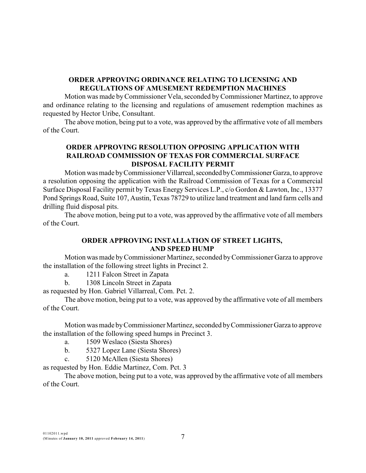### **ORDER APPROVING ORDINANCE RELATING TO LICENSING AND REGULATIONS OF AMUSEMENT REDEMPTION MACHINES**

Motion was made byCommissioner Vela, seconded byCommissioner Martinez, to approve and ordinance relating to the licensing and regulations of amusement redemption machines as requested by Hector Uribe, Consultant.

The above motion, being put to a vote, was approved by the affirmative vote of all members of the Court.

## **ORDER APPROVING RESOLUTION OPPOSING APPLICATION WITH RAILROAD COMMISSION OF TEXAS FOR COMMERCIAL SURFACE DISPOSAL FACILITY PERMIT**

Motion was made by Commissioner Villarreal, seconded by Commissioner Garza, to approve a resolution opposing the application with the Railroad Commission of Texas for a Commercial Surface Disposal Facility permit by Texas Energy Services L.P., c/o Gordon & Lawton, Inc., 13377 Pond Springs Road, Suite 107, Austin, Texas 78729 to utilize land treatment and land farm cells and drilling fluid disposal pits.

The above motion, being put to a vote, was approved by the affirmative vote of all members of the Court.

#### **ORDER APPROVING INSTALLATION OF STREET LIGHTS, AND SPEED HUMP**

Motion was made byCommissioner Martinez, seconded byCommissioner Garza to approve the installation of the following street lights in Precinct 2.

a. 1211 Falcon Street in Zapata

b. 1308 Lincoln Street in Zapata

as requested by Hon. Gabriel Villarreal, Com. Pct. 2.

The above motion, being put to a vote, was approved by the affirmative vote of all members of the Court.

Motion was made byCommissioner Martinez, seconded byCommissioner Garza to approve the installation of the following speed humps in Precinct 3.

- a. 1509 Weslaco (Siesta Shores)
- b. 5327 Lopez Lane (Siesta Shores)
- c. 5120 McAllen (Siesta Shores)

as requested by Hon. Eddie Martinez, Com. Pct. 3

The above motion, being put to a vote, was approved by the affirmative vote of all members of the Court.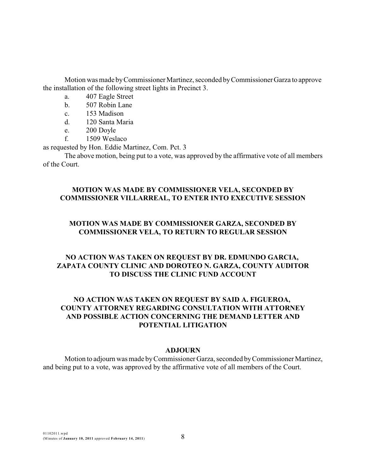Motion was made byCommissioner Martinez, seconded byCommissionerGarza to approve the installation of the following street lights in Precinct 3.

- a. 407 Eagle Street
- b. 507 Robin Lane
- c. 153 Madison
- d. 120 Santa Maria
- e. 200 Doyle
- f. 1509 Weslaco

as requested by Hon. Eddie Martinez, Com. Pct. 3

The above motion, being put to a vote, was approved by the affirmative vote of all members of the Court.

## **MOTION WAS MADE BY COMMISSIONER VELA, SECONDED BY COMMISSIONER VILLARREAL, TO ENTER INTO EXECUTIVE SESSION**

## **MOTION WAS MADE BY COMMISSIONER GARZA, SECONDED BY COMMISSIONER VELA, TO RETURN TO REGULAR SESSION**

# **NO ACTION WAS TAKEN ON REQUEST BY DR. EDMUNDO GARCIA, ZAPATA COUNTY CLINIC AND DOROTEO N. GARZA, COUNTY AUDITOR TO DISCUSS THE CLINIC FUND ACCOUNT**

## **NO ACTION WAS TAKEN ON REQUEST BY SAID A. FIGUEROA, COUNTY ATTORNEY REGARDING CONSULTATION WITH ATTORNEY AND POSSIBLE ACTION CONCERNING THE DEMAND LETTER AND POTENTIAL LITIGATION**

### **ADJOURN**

Motion to adjourn was made byCommissioner Garza, seconded byCommissioner Martinez, and being put to a vote, was approved by the affirmative vote of all members of the Court.